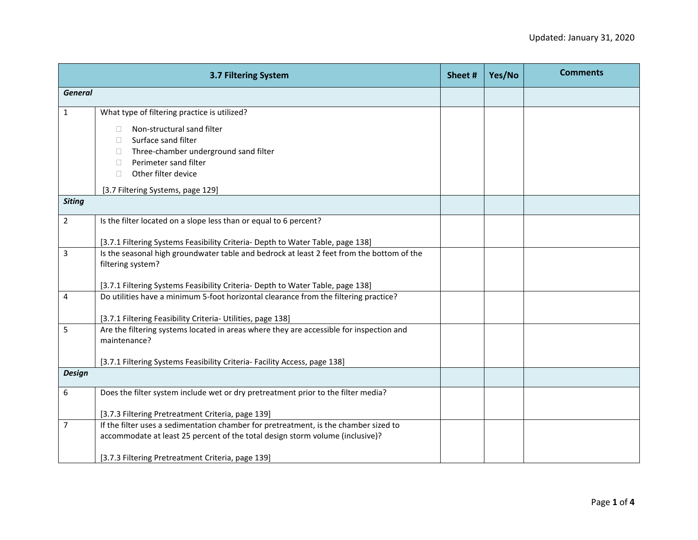|                | 3.7 Filtering System                                                                      | Sheet# | Yes/No | <b>Comments</b> |
|----------------|-------------------------------------------------------------------------------------------|--------|--------|-----------------|
| <b>General</b> |                                                                                           |        |        |                 |
| $\mathbf{1}$   | What type of filtering practice is utilized?                                              |        |        |                 |
|                | Non-structural sand filter                                                                |        |        |                 |
|                | Surface sand filter<br>П.                                                                 |        |        |                 |
|                | Three-chamber underground sand filter<br>$\mathbf{L}$                                     |        |        |                 |
|                | Perimeter sand filter<br>$\Box$                                                           |        |        |                 |
|                | Other filter device<br>$\Box$                                                             |        |        |                 |
|                | [3.7 Filtering Systems, page 129]                                                         |        |        |                 |
| <b>Siting</b>  |                                                                                           |        |        |                 |
| $\overline{2}$ | Is the filter located on a slope less than or equal to 6 percent?                         |        |        |                 |
|                |                                                                                           |        |        |                 |
|                | [3.7.1 Filtering Systems Feasibility Criteria- Depth to Water Table, page 138]            |        |        |                 |
| 3              | Is the seasonal high groundwater table and bedrock at least 2 feet from the bottom of the |        |        |                 |
|                | filtering system?                                                                         |        |        |                 |
|                | [3.7.1 Filtering Systems Feasibility Criteria- Depth to Water Table, page 138]            |        |        |                 |
| $\overline{4}$ | Do utilities have a minimum 5-foot horizontal clearance from the filtering practice?      |        |        |                 |
|                |                                                                                           |        |        |                 |
|                | [3.7.1 Filtering Feasibility Criteria- Utilities, page 138]                               |        |        |                 |
| 5              | Are the filtering systems located in areas where they are accessible for inspection and   |        |        |                 |
|                | maintenance?                                                                              |        |        |                 |
|                |                                                                                           |        |        |                 |
| <b>Design</b>  | [3.7.1 Filtering Systems Feasibility Criteria- Facility Access, page 138]                 |        |        |                 |
|                |                                                                                           |        |        |                 |
| 6              | Does the filter system include wet or dry pretreatment prior to the filter media?         |        |        |                 |
|                |                                                                                           |        |        |                 |
|                | [3.7.3 Filtering Pretreatment Criteria, page 139]                                         |        |        |                 |
| $\overline{7}$ | If the filter uses a sedimentation chamber for pretreatment, is the chamber sized to      |        |        |                 |
|                | accommodate at least 25 percent of the total design storm volume (inclusive)?             |        |        |                 |
|                | [3.7.3 Filtering Pretreatment Criteria, page 139]                                         |        |        |                 |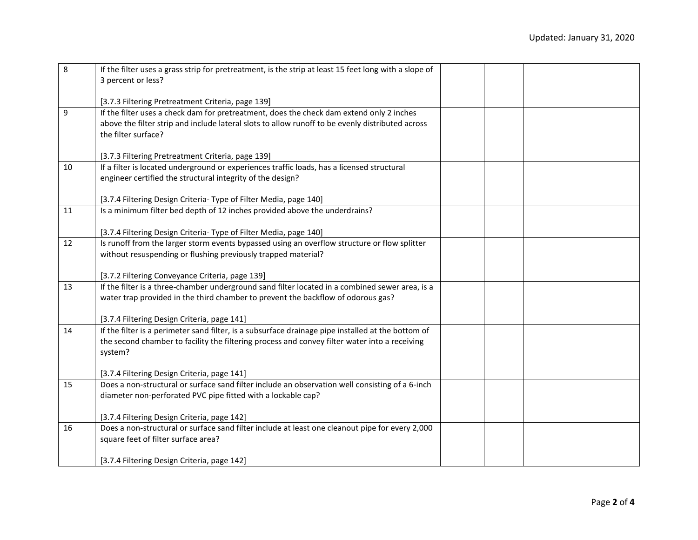| 8  | If the filter uses a grass strip for pretreatment, is the strip at least 15 feet long with a slope of<br>3 percent or less?                        |  |  |
|----|----------------------------------------------------------------------------------------------------------------------------------------------------|--|--|
|    |                                                                                                                                                    |  |  |
|    | [3.7.3 Filtering Pretreatment Criteria, page 139]                                                                                                  |  |  |
| 9  | If the filter uses a check dam for pretreatment, does the check dam extend only 2 inches                                                           |  |  |
|    | above the filter strip and include lateral slots to allow runoff to be evenly distributed across                                                   |  |  |
|    | the filter surface?                                                                                                                                |  |  |
|    |                                                                                                                                                    |  |  |
|    | [3.7.3 Filtering Pretreatment Criteria, page 139]                                                                                                  |  |  |
| 10 | If a filter is located underground or experiences traffic loads, has a licensed structural                                                         |  |  |
|    | engineer certified the structural integrity of the design?                                                                                         |  |  |
|    |                                                                                                                                                    |  |  |
|    | [3.7.4 Filtering Design Criteria- Type of Filter Media, page 140]                                                                                  |  |  |
| 11 | Is a minimum filter bed depth of 12 inches provided above the underdrains?                                                                         |  |  |
|    |                                                                                                                                                    |  |  |
|    | [3.7.4 Filtering Design Criteria- Type of Filter Media, page 140]                                                                                  |  |  |
| 12 | Is runoff from the larger storm events bypassed using an overflow structure or flow splitter                                                       |  |  |
|    | without resuspending or flushing previously trapped material?                                                                                      |  |  |
|    |                                                                                                                                                    |  |  |
|    | [3.7.2 Filtering Conveyance Criteria, page 139]<br>If the filter is a three-chamber underground sand filter located in a combined sewer area, is a |  |  |
| 13 | water trap provided in the third chamber to prevent the backflow of odorous gas?                                                                   |  |  |
|    |                                                                                                                                                    |  |  |
|    | [3.7.4 Filtering Design Criteria, page 141]                                                                                                        |  |  |
| 14 | If the filter is a perimeter sand filter, is a subsurface drainage pipe installed at the bottom of                                                 |  |  |
|    | the second chamber to facility the filtering process and convey filter water into a receiving                                                      |  |  |
|    | system?                                                                                                                                            |  |  |
|    |                                                                                                                                                    |  |  |
|    | [3.7.4 Filtering Design Criteria, page 141]                                                                                                        |  |  |
| 15 | Does a non-structural or surface sand filter include an observation well consisting of a 6-inch                                                    |  |  |
|    | diameter non-perforated PVC pipe fitted with a lockable cap?                                                                                       |  |  |
|    |                                                                                                                                                    |  |  |
|    | [3.7.4 Filtering Design Criteria, page 142]                                                                                                        |  |  |
| 16 | Does a non-structural or surface sand filter include at least one cleanout pipe for every 2,000                                                    |  |  |
|    | square feet of filter surface area?                                                                                                                |  |  |
|    |                                                                                                                                                    |  |  |
|    | [3.7.4 Filtering Design Criteria, page 142]                                                                                                        |  |  |
|    |                                                                                                                                                    |  |  |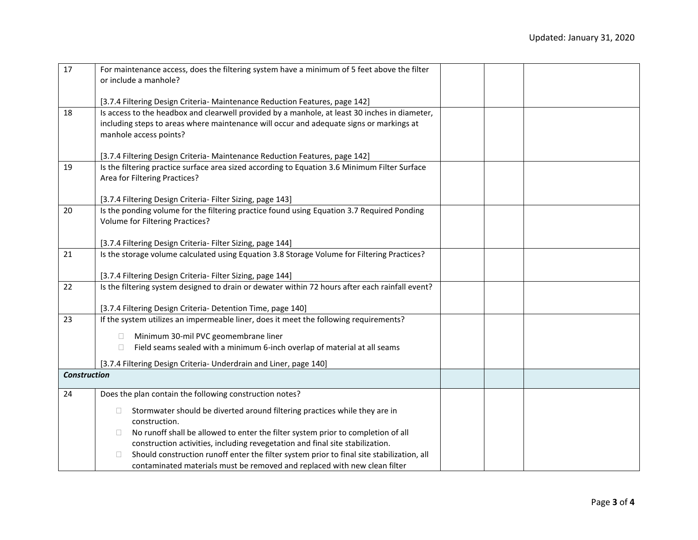| 17                  | For maintenance access, does the filtering system have a minimum of 5 feet above the filter<br>or include a manhole?                                     |  |  |
|---------------------|----------------------------------------------------------------------------------------------------------------------------------------------------------|--|--|
|                     | [3.7.4 Filtering Design Criteria- Maintenance Reduction Features, page 142]                                                                              |  |  |
| 18                  | Is access to the headbox and clearwell provided by a manhole, at least 30 inches in diameter,                                                            |  |  |
|                     | including steps to areas where maintenance will occur and adequate signs or markings at                                                                  |  |  |
|                     | manhole access points?                                                                                                                                   |  |  |
|                     |                                                                                                                                                          |  |  |
|                     | [3.7.4 Filtering Design Criteria- Maintenance Reduction Features, page 142]                                                                              |  |  |
| 19                  | Is the filtering practice surface area sized according to Equation 3.6 Minimum Filter Surface                                                            |  |  |
|                     | Area for Filtering Practices?                                                                                                                            |  |  |
|                     |                                                                                                                                                          |  |  |
| 20                  | [3.7.4 Filtering Design Criteria- Filter Sizing, page 143]<br>Is the ponding volume for the filtering practice found using Equation 3.7 Required Ponding |  |  |
|                     | Volume for Filtering Practices?                                                                                                                          |  |  |
|                     |                                                                                                                                                          |  |  |
|                     | [3.7.4 Filtering Design Criteria- Filter Sizing, page 144]                                                                                               |  |  |
| 21                  | Is the storage volume calculated using Equation 3.8 Storage Volume for Filtering Practices?                                                              |  |  |
|                     |                                                                                                                                                          |  |  |
|                     | [3.7.4 Filtering Design Criteria- Filter Sizing, page 144]                                                                                               |  |  |
| 22                  | Is the filtering system designed to drain or dewater within 72 hours after each rainfall event?                                                          |  |  |
|                     |                                                                                                                                                          |  |  |
|                     | [3.7.4 Filtering Design Criteria- Detention Time, page 140]                                                                                              |  |  |
| 23                  | If the system utilizes an impermeable liner, does it meet the following requirements?                                                                    |  |  |
|                     | Minimum 30-mil PVC geomembrane liner<br>$\Box$                                                                                                           |  |  |
|                     | Field seams sealed with a minimum 6-inch overlap of material at all seams<br>$\Box$                                                                      |  |  |
|                     | [3.7.4 Filtering Design Criteria- Underdrain and Liner, page 140]                                                                                        |  |  |
| <b>Construction</b> |                                                                                                                                                          |  |  |
| 24                  | Does the plan contain the following construction notes?                                                                                                  |  |  |
|                     | Stormwater should be diverted around filtering practices while they are in                                                                               |  |  |
|                     | construction.                                                                                                                                            |  |  |
|                     | No runoff shall be allowed to enter the filter system prior to completion of all<br>$\Box$                                                               |  |  |
|                     | construction activities, including revegetation and final site stabilization.                                                                            |  |  |
|                     | Should construction runoff enter the filter system prior to final site stabilization, all<br>$\Box$                                                      |  |  |
|                     | contaminated materials must be removed and replaced with new clean filter                                                                                |  |  |